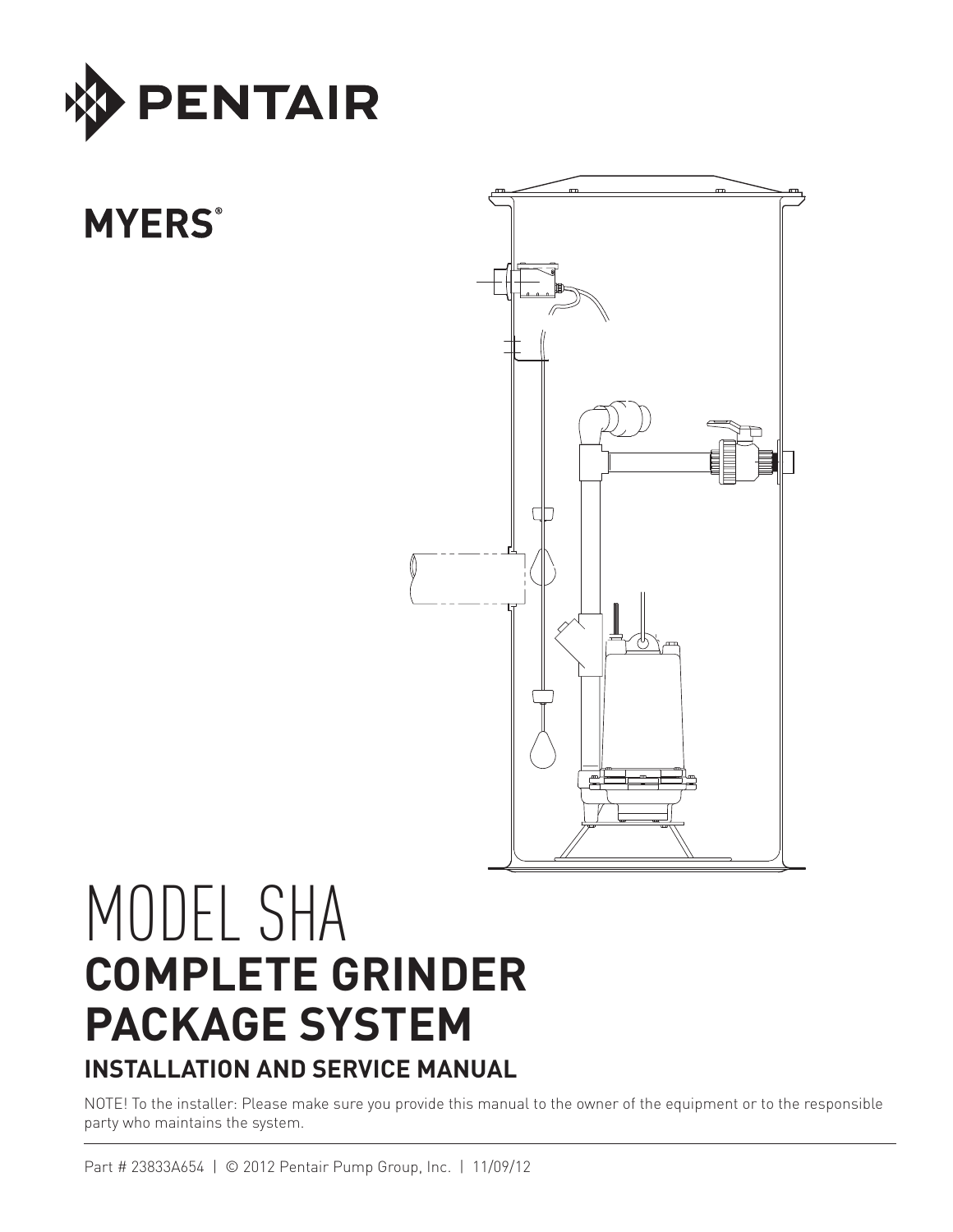

# **MYERS®**



# MODEL SHA **COMPLETE GRINDER PACKAGE SYSTEM INSTALLATION AND SERVICE MANUAL**

NOTE! To the installer: Please make sure you provide this manual to the owner of the equipment or to the responsible party who maintains the system.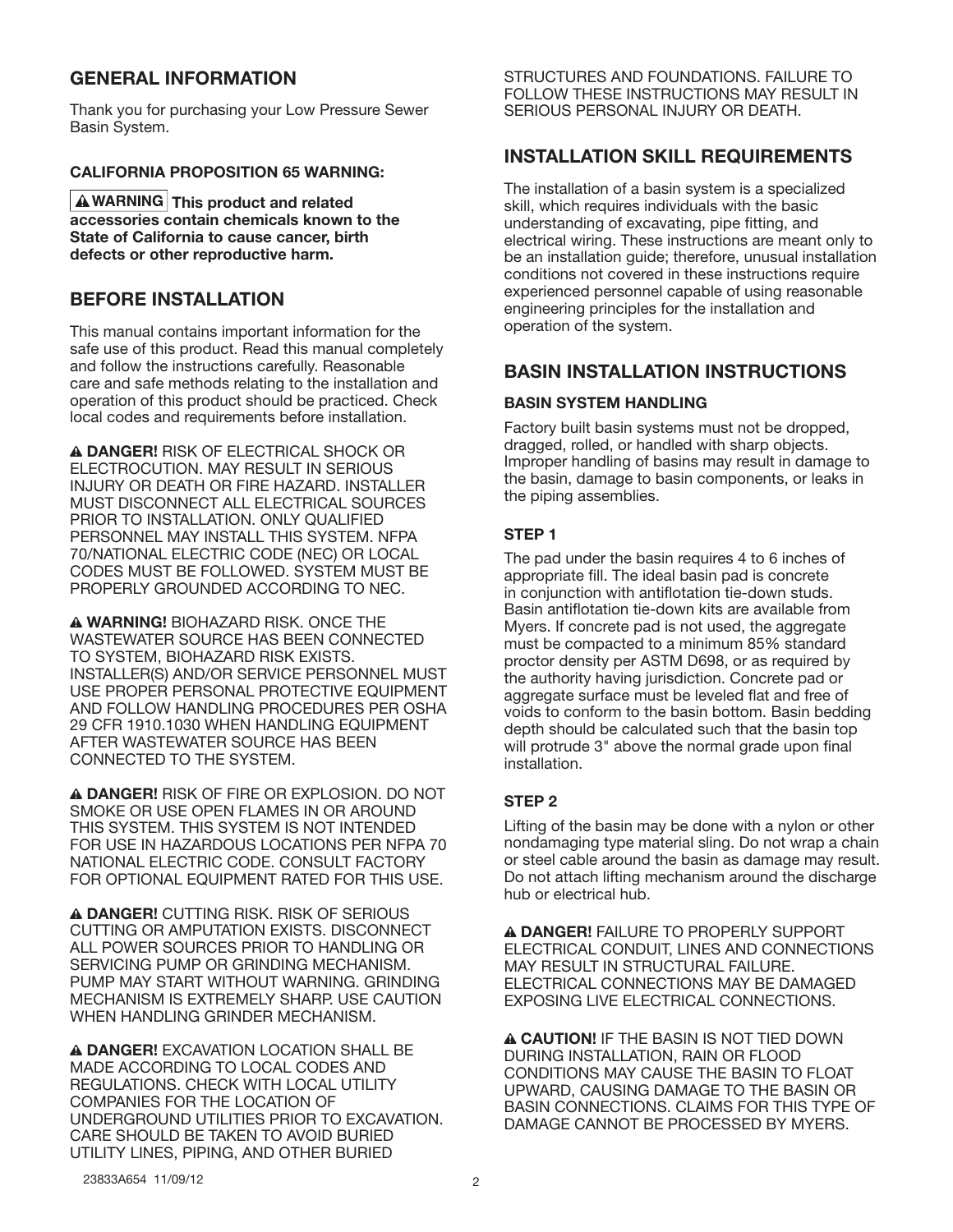## **GENERAL INFORMATION**

Thank you for purchasing your Low Pressure Sewer Basin System.

## **CALIFORNIA PROPOSITION 65 WARNING:**

**A** WARNING This product and related **accessories contain chemicals known to the State of California to cause cancer, birth defects or other reproductive harm.**

## **BEFORE INSTALLATION**

This manual contains important information for the safe use of this product. Read this manual completely and follow the instructions carefully. Reasonable care and safe methods relating to the installation and operation of this product should be practiced. Check local codes and requirements before installation.

**A DANGER!** RISK OF ELECTRICAL SHOCK OR ELECTROCUTION. MAY RESULT IN SERIOUS INJURY OR DEATH OR FIRE HAZARD. INSTALLER MUST DISCONNECT ALL ELECTRICAL SOURCES PRIOR TO INSTALLATION. ONLY QUALIFIED PERSONNEL MAY INSTALL THIS SYSTEM. NFPA 70/NATIONAL ELECTRIC CODE (NEC) OR LOCAL CODES MUST BE FOLLOWED. SYSTEM MUST BE PROPERLY GROUNDED ACCORDING TO NEC.

**A WARNING! BIOHAZARD RISK. ONCE THE** WASTEWATER SOURCE HAS BEEN CONNECTED TO SYSTEM, BIOHAZARD RISK EXISTS. INSTALLER(S) AND/OR SERVICE PERSONNEL MUST USE PROPER PERSONAL PROTECTIVE EQUIPMENT AND FOLLOW HANDLING PROCEDURES PER OSHA 29 CFR 1910.1030 WHEN HANDLING EQUIPMENT AFTER WASTEWATER SOURCE HAS BEEN CONNECTED TO THE SYSTEM.

n **DANGER!** RISK OF FIRE OR EXPLOSION. DO NOT SMOKE OR USE OPEN FLAMES IN OR AROUND THIS SYSTEM. THIS SYSTEM IS NOT INTENDED FOR USE IN HAZARDOUS LOCATIONS PER NFPA 70 NATIONAL ELECTRIC CODE. CONSULT FACTORY FOR OPTIONAL EQUIPMENT RATED FOR THIS USE.

**A DANGER!** CUTTING RISK. RISK OF SERIOUS CUTTING OR AMPUTATION EXISTS. DISCONNECT ALL POWER SOURCES PRIOR TO HANDLING OR SERVICING PUMP OR GRINDING MECHANISM. PUMP MAY START WITHOUT WARNING. GRINDING MECHANISM IS EXTREMELY SHARP. USE CAUTION WHEN HANDLING GRINDER MECHANISM.

**A DANGER! EXCAVATION LOCATION SHALL BE** MADE ACCORDING TO LOCAL CODES AND REGULATIONS. CHECK WITH LOCAL UTILITY COMPANIES FOR THE LOCATION OF UNDERGROUND UTILITIES PRIOR TO EXCAVATION. CARE SHOULD BE TAKEN TO AVOID BURIED UTILITY LINES, PIPING, AND OTHER BURIED

STRUCTURES AND FOUNDATIONS. FAILURE TO FOLLOW THESE INSTRUCTIONS MAY RESULT IN SERIOUS PERSONAL INJURY OR DEATH.

## **INSTALLATION SKILL REQUIREMENTS**

The installation of a basin system is a specialized skill, which requires individuals with the basic understanding of excavating, pipe fitting, and electrical wiring. These instructions are meant only to be an installation guide; therefore, unusual installation conditions not covered in these instructions require experienced personnel capable of using reasonable engineering principles for the installation and operation of the system.

## **BASIN INSTALLATION INSTRUCTIONS**

## **BASIN SYSTEM HANDLING**

Factory built basin systems must not be dropped, dragged, rolled, or handled with sharp objects. Improper handling of basins may result in damage to the basin, damage to basin components, or leaks in the piping assemblies.

## **STEP 1**

The pad under the basin requires 4 to 6 inches of appropriate fill. The ideal basin pad is concrete in conjunction with antiflotation tie-down studs. Basin antiflotation tie-down kits are available from Myers. If concrete pad is not used, the aggregate must be compacted to a minimum 85% standard proctor density per ASTM D698, or as required by the authority having jurisdiction. Concrete pad or aggregate surface must be leveled flat and free of voids to conform to the basin bottom. Basin bedding depth should be calculated such that the basin top will protrude 3" above the normal grade upon final installation.

## **STEP 2**

Lifting of the basin may be done with a nylon or other nondamaging type material sling. Do not wrap a chain or steel cable around the basin as damage may result. Do not attach lifting mechanism around the discharge hub or electrical hub.

**A DANGER!** FAILURE TO PROPERLY SUPPORT ELECTRICAL CONDUIT, LINES AND CONNECTIONS MAY RESULT IN STRUCTURAL FAILURE. ELECTRICAL CONNECTIONS MAY BE DAMAGED EXPOSING LIVE ELECTRICAL CONNECTIONS.

**A CAUTION!** IF THE BASIN IS NOT TIED DOWN DURING INSTALLATION, RAIN OR FLOOD CONDITIONS MAY CAUSE THE BASIN TO FLOAT UPWARD, CAUSING DAMAGE TO THE BASIN OR BASIN CONNECTIONS. CLAIMS FOR THIS TYPE OF DAMAGE CANNOT BE PROCESSED BY MYERS.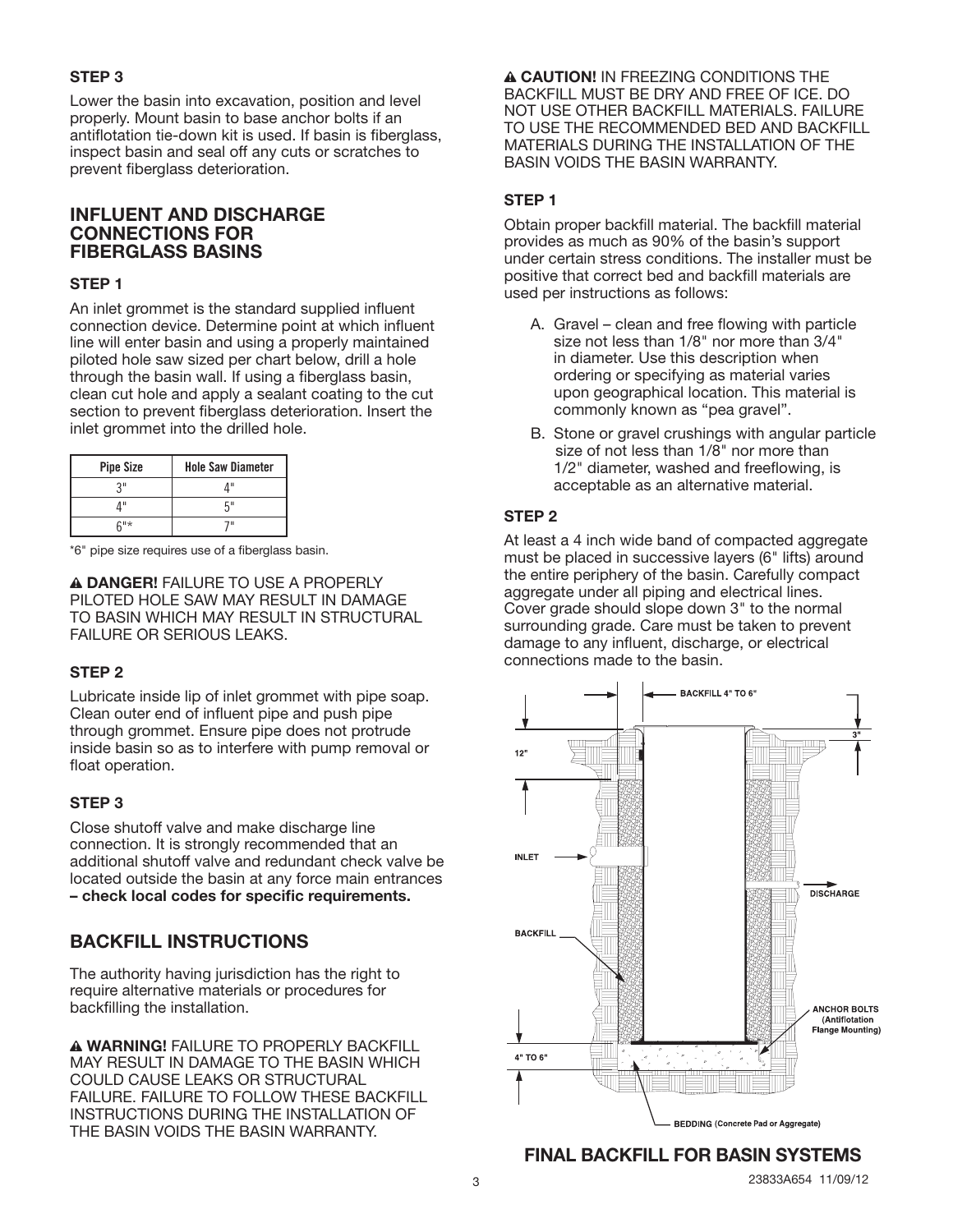## **STEP 3**

Lower the basin into excavation, position and level properly. Mount basin to base anchor bolts if an antiflotation tie-down kit is used. If basin is fiberglass, inspect basin and seal off any cuts or scratches to prevent fiberglass deterioration.

## **INFLUENT AND DISCHARGE CONNECTIONS FOR FIBERGLASS BASINS**

## **STEP 1**

An inlet grommet is the standard supplied influent connection device. Determine point at which influent line will enter basin and using a properly maintained piloted hole saw sized per chart below, drill a hole through the basin wall. If using a fiberglass basin, clean cut hole and apply a sealant coating to the cut section to prevent fiberglass deterioration. Insert the inlet grommet into the drilled hole.

| <b>Pipe Size</b> | <b>Hole Saw Diameter</b> |
|------------------|--------------------------|
| 21               | 1 II                     |
| ш                | г"                       |
| $6"$ *           | 7 11                     |

\*6" pipe size requires use of a fiberglass basin.

**A DANGER! FAILURE TO USE A PROPERLY** PILOTED HOLE SAW MAY RESULT IN DAMAGE TO BASIN WHICH MAY RESULT IN STRUCTURAL FAILURE OR SERIOUS LEAKS.

## **STEP 2**

Lubricate inside lip of inlet grommet with pipe soap. Clean outer end of influent pipe and push pipe through grommet. Ensure pipe does not protrude inside basin so as to interfere with pump removal or float operation.

## **STEP 3**

Close shutoff valve and make discharge line connection. It is strongly recommended that an additional shutoff valve and redundant check valve be located outside the basin at any force main entrances **– check local codes for specific requirements.**

## **BACKFILL INSTRUCTIONS**

The authority having jurisdiction has the right to require alternative materials or procedures for backfilling the installation.

**A WARNING!** FAILURE TO PROPERLY BACKFILL MAY RESULT IN DAMAGE TO THE BASIN WHICH COULD CAUSE LEAKS OR STRUCTURAL FAILURE. FAILURE TO FOLLOW THESE BACKFILL INSTRUCTIONS DURING THE INSTALLATION OF THE BASIN VOIDS THE BASIN WARRANTY.

**A CAUTION!** IN FREEZING CONDITIONS THE BACKFILL MUST BE DRY AND FREE OF ICE. DO NOT USE OTHER BACKFILL MATERIALS. FAILURE TO USE THE RECOMMENDED BED AND BACKFILL MATERIALS DURING THE INSTALLATION OF THE BASIN VOIDS THE BASIN WARRANTY.

## **STEP 1**

Obtain proper backfill material. The backfill material provides as much as 90% of the basin's support under certain stress conditions. The installer must be positive that correct bed and backfill materials are used per instructions as follows:

- A. Gravel clean and free flowing with particle size not less than 1/8" nor more than 3/4" in diameter. Use this description when ordering or specifying as material varies upon geographical location. This material is commonly known as "pea gravel".
- B. Stone or gravel crushings with angular particle size of not less than 1/8" nor more than 1/2" diameter, washed and freeflowing, is acceptable as an alternative material.

## **STEP 2**

At least a 4 inch wide band of compacted aggregate must be placed in successive layers (6" lifts) around the entire periphery of the basin. Carefully compact aggregate under all piping and electrical lines. Cover grade should slope down 3" to the normal surrounding grade. Care must be taken to prevent damage to any influent, discharge, or electrical connections made to the basin.



## **FINAL BACKFILL FOR BASIN SYSTEMS**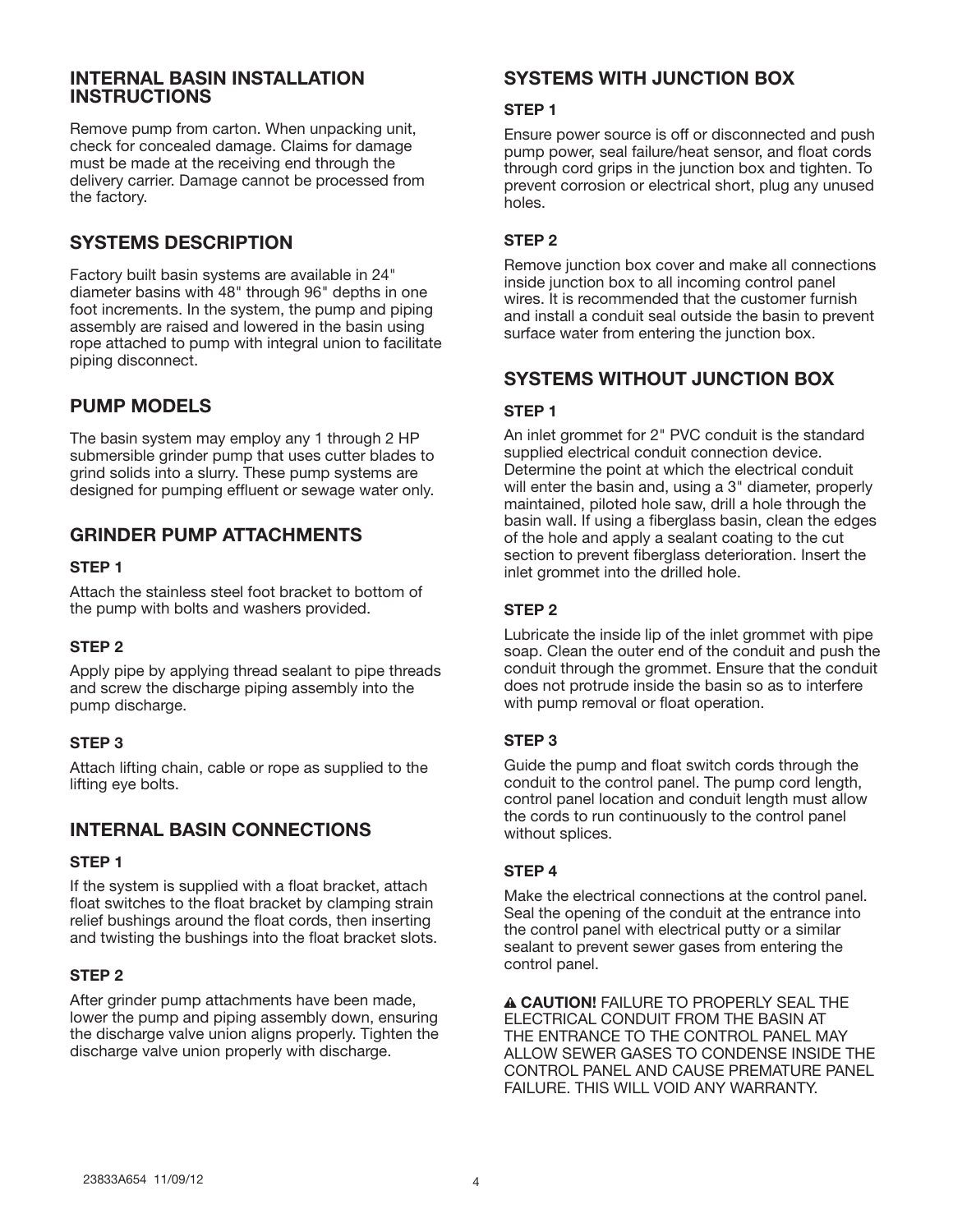## **INTERNAL BASIN INSTALLATION INSTRUCTIONS**

Remove pump from carton. When unpacking unit, check for concealed damage. Claims for damage must be made at the receiving end through the delivery carrier. Damage cannot be processed from the factory.

## **SYSTEMS DESCRIPTION**

Factory built basin systems are available in 24" diameter basins with 48" through 96" depths in one foot increments. In the system, the pump and piping assembly are raised and lowered in the basin using rope attached to pump with integral union to facilitate piping disconnect.

## **PUMP MODELS**

The basin system may employ any 1 through 2 HP submersible grinder pump that uses cutter blades to grind solids into a slurry. These pump systems are designed for pumping effluent or sewage water only.

## **GRINDER PUMP ATTACHMENTS**

## **STEP 1**

Attach the stainless steel foot bracket to bottom of the pump with bolts and washers provided.

## **STEP 2**

Apply pipe by applying thread sealant to pipe threads and screw the discharge piping assembly into the pump discharge.

## **STEP 3**

Attach lifting chain, cable or rope as supplied to the lifting eye bolts.

## **INTERNAL BASIN CONNECTIONS**

## **STEP 1**

If the system is supplied with a float bracket, attach float switches to the float bracket by clamping strain relief bushings around the float cords, then inserting and twisting the bushings into the float bracket slots.

## **STEP 2**

After grinder pump attachments have been made, lower the pump and piping assembly down, ensuring the discharge valve union aligns properly. Tighten the discharge valve union properly with discharge.

## **SYSTEMS WITH JUNCTION BOX**

#### **STEP 1**

Ensure power source is off or disconnected and push pump power, seal failure/heat sensor, and float cords through cord grips in the junction box and tighten. To prevent corrosion or electrical short, plug any unused holes.

## **STEP 2**

Remove junction box cover and make all connections inside junction box to all incoming control panel wires. It is recommended that the customer furnish and install a conduit seal outside the basin to prevent surface water from entering the junction box.

## **SYSTEMS WITHOUT JUNCTION BOX**

## **STEP 1**

An inlet grommet for 2" PVC conduit is the standard supplied electrical conduit connection device. Determine the point at which the electrical conduit will enter the basin and, using a 3" diameter, properly maintained, piloted hole saw, drill a hole through the basin wall. If using a fiberglass basin, clean the edges of the hole and apply a sealant coating to the cut section to prevent fiberglass deterioration. Insert the inlet grommet into the drilled hole.

## **STEP 2**

Lubricate the inside lip of the inlet grommet with pipe soap. Clean the outer end of the conduit and push the conduit through the grommet. Ensure that the conduit does not protrude inside the basin so as to interfere with pump removal or float operation.

## **STEP 3**

Guide the pump and float switch cords through the conduit to the control panel. The pump cord length, control panel location and conduit length must allow the cords to run continuously to the control panel without splices.

## **STEP 4**

Make the electrical connections at the control panel. Seal the opening of the conduit at the entrance into the control panel with electrical putty or a similar sealant to prevent sewer gases from entering the control panel.

**A CAUTION! FAILURE TO PROPERLY SEAL THE** ELECTRICAL CONDUIT FROM THE BASIN AT THE ENTRANCE TO THE CONTROL PANEL MAY ALLOW SEWER GASES TO CONDENSE INSIDE THE CONTROL PANEL AND CAUSE PREMATURE PANEL FAILURE. THIS WILL VOID ANY WARRANTY.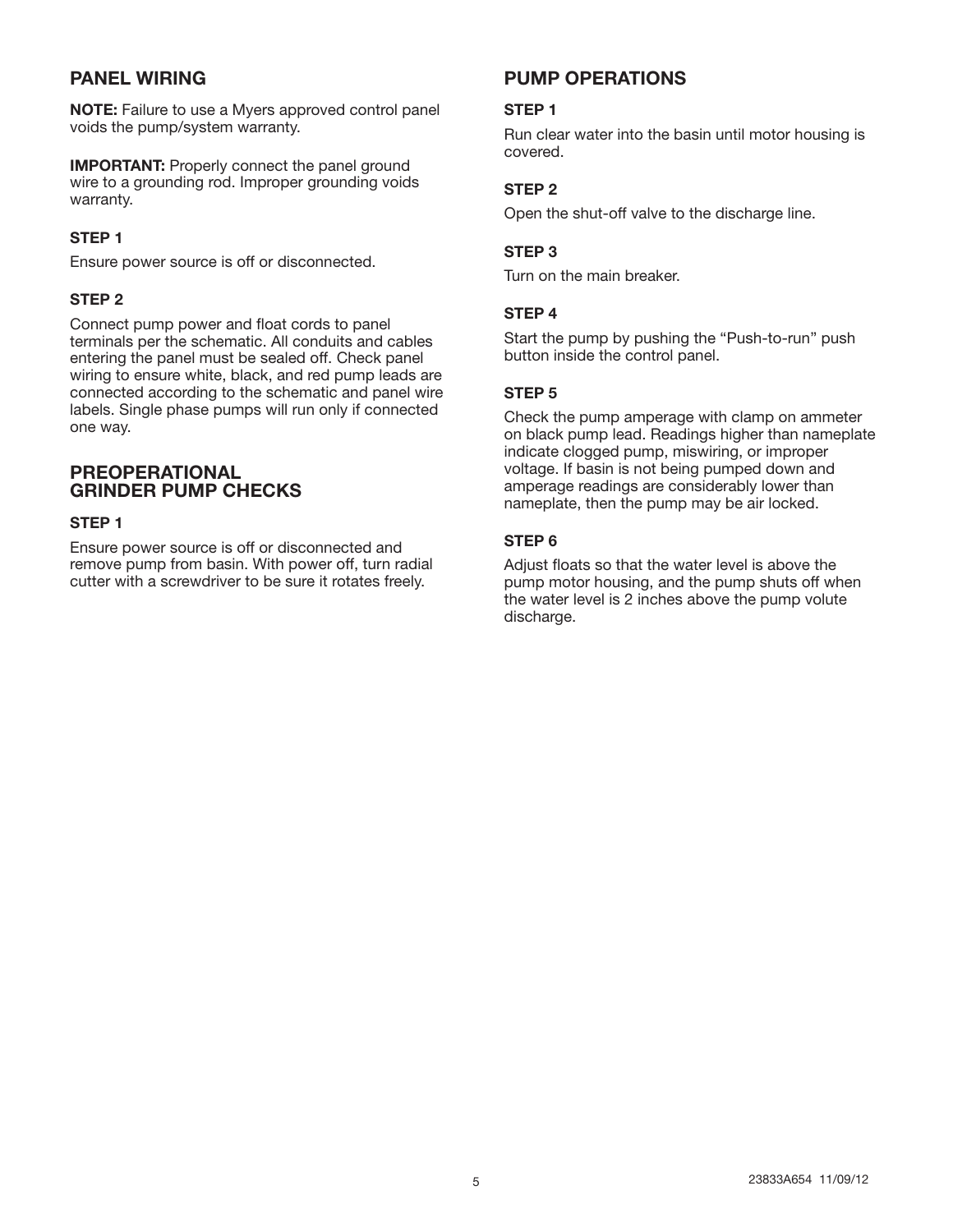## **PANEL WIRING**

**NOTE:** Failure to use a Myers approved control panel voids the pump/system warranty.

**IMPORTANT:** Properly connect the panel ground wire to a grounding rod. Improper grounding voids warranty.

#### **STEP 1**

Ensure power source is off or disconnected.

## **STEP 2**

Connect pump power and float cords to panel terminals per the schematic. All conduits and cables entering the panel must be sealed off. Check panel wiring to ensure white, black, and red pump leads are connected according to the schematic and panel wire labels. Single phase pumps will run only if connected one way.

## **PREOPERATIONAL GRINDER PUMP CHECKS**

#### **STEP 1**

Ensure power source is off or disconnected and remove pump from basin. With power off, turn radial cutter with a screwdriver to be sure it rotates freely.

## **PUMP OPERATIONS**

#### **STEP 1**

Run clear water into the basin until motor housing is covered.

## **STEP 2**

Open the shut-off valve to the discharge line.

#### **STEP 3**

Turn on the main breaker.

#### **STEP 4**

Start the pump by pushing the "Push-to-run" push button inside the control panel.

#### **STEP 5**

Check the pump amperage with clamp on ammeter on black pump lead. Readings higher than nameplate indicate clogged pump, miswiring, or improper voltage. If basin is not being pumped down and amperage readings are considerably lower than nameplate, then the pump may be air locked.

## **STEP 6**

Adjust floats so that the water level is above the pump motor housing, and the pump shuts off when the water level is 2 inches above the pump volute discharge.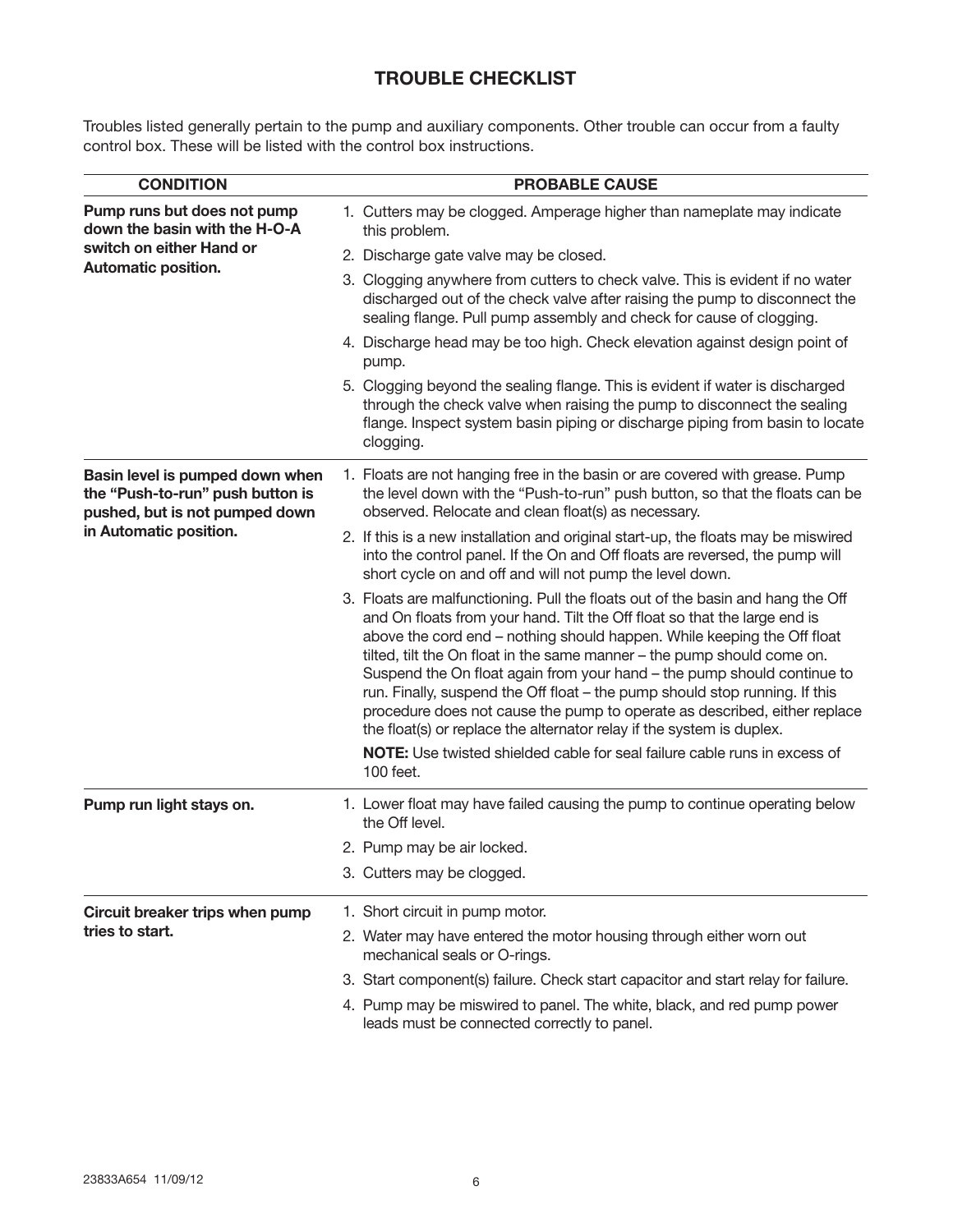## **TROUBLE CHECKLIST**

Troubles listed generally pertain to the pump and auxiliary components. Other trouble can occur from a faulty control box. These will be listed with the control box instructions.

| <b>CONDITION</b>                                                                                                                | <b>PROBABLE CAUSE</b>                                                                                                                                                                                                                                                                                                                                                                                                                                                                                                                                                                                                                                                                                           |  |  |
|---------------------------------------------------------------------------------------------------------------------------------|-----------------------------------------------------------------------------------------------------------------------------------------------------------------------------------------------------------------------------------------------------------------------------------------------------------------------------------------------------------------------------------------------------------------------------------------------------------------------------------------------------------------------------------------------------------------------------------------------------------------------------------------------------------------------------------------------------------------|--|--|
| Pump runs but does not pump<br>down the basin with the H-O-A                                                                    | 1. Cutters may be clogged. Amperage higher than nameplate may indicate<br>this problem.                                                                                                                                                                                                                                                                                                                                                                                                                                                                                                                                                                                                                         |  |  |
| switch on either Hand or<br><b>Automatic position.</b>                                                                          | 2. Discharge gate valve may be closed.                                                                                                                                                                                                                                                                                                                                                                                                                                                                                                                                                                                                                                                                          |  |  |
|                                                                                                                                 | 3. Clogging anywhere from cutters to check valve. This is evident if no water<br>discharged out of the check valve after raising the pump to disconnect the<br>sealing flange. Pull pump assembly and check for cause of clogging.                                                                                                                                                                                                                                                                                                                                                                                                                                                                              |  |  |
|                                                                                                                                 | 4. Discharge head may be too high. Check elevation against design point of<br>pump.                                                                                                                                                                                                                                                                                                                                                                                                                                                                                                                                                                                                                             |  |  |
|                                                                                                                                 | 5. Clogging beyond the sealing flange. This is evident if water is discharged<br>through the check valve when raising the pump to disconnect the sealing<br>flange. Inspect system basin piping or discharge piping from basin to locate<br>clogging.                                                                                                                                                                                                                                                                                                                                                                                                                                                           |  |  |
| Basin level is pumped down when<br>the "Push-to-run" push button is<br>pushed, but is not pumped down<br>in Automatic position. | 1. Floats are not hanging free in the basin or are covered with grease. Pump<br>the level down with the "Push-to-run" push button, so that the floats can be<br>observed. Relocate and clean float(s) as necessary.                                                                                                                                                                                                                                                                                                                                                                                                                                                                                             |  |  |
|                                                                                                                                 | 2. If this is a new installation and original start-up, the floats may be miswired<br>into the control panel. If the On and Off floats are reversed, the pump will<br>short cycle on and off and will not pump the level down.                                                                                                                                                                                                                                                                                                                                                                                                                                                                                  |  |  |
|                                                                                                                                 | 3. Floats are malfunctioning. Pull the floats out of the basin and hang the Off<br>and On floats from your hand. Tilt the Off float so that the large end is<br>above the cord end - nothing should happen. While keeping the Off float<br>tilted, tilt the On float in the same manner - the pump should come on.<br>Suspend the On float again from your hand - the pump should continue to<br>run. Finally, suspend the Off float - the pump should stop running. If this<br>procedure does not cause the pump to operate as described, either replace<br>the float(s) or replace the alternator relay if the system is duplex.<br>NOTE: Use twisted shielded cable for seal failure cable runs in excess of |  |  |
|                                                                                                                                 | 100 feet.                                                                                                                                                                                                                                                                                                                                                                                                                                                                                                                                                                                                                                                                                                       |  |  |
| Pump run light stays on.                                                                                                        | 1. Lower float may have failed causing the pump to continue operating below<br>the Off level.                                                                                                                                                                                                                                                                                                                                                                                                                                                                                                                                                                                                                   |  |  |
|                                                                                                                                 | 2. Pump may be air locked.                                                                                                                                                                                                                                                                                                                                                                                                                                                                                                                                                                                                                                                                                      |  |  |
|                                                                                                                                 | 3. Cutters may be clogged.                                                                                                                                                                                                                                                                                                                                                                                                                                                                                                                                                                                                                                                                                      |  |  |
| Circuit breaker trips when pump<br>tries to start.                                                                              | 1. Short circuit in pump motor.                                                                                                                                                                                                                                                                                                                                                                                                                                                                                                                                                                                                                                                                                 |  |  |
|                                                                                                                                 | 2. Water may have entered the motor housing through either worn out<br>mechanical seals or O-rings.                                                                                                                                                                                                                                                                                                                                                                                                                                                                                                                                                                                                             |  |  |
|                                                                                                                                 | 3. Start component(s) failure. Check start capacitor and start relay for failure.                                                                                                                                                                                                                                                                                                                                                                                                                                                                                                                                                                                                                               |  |  |
|                                                                                                                                 | 4. Pump may be miswired to panel. The white, black, and red pump power<br>leads must be connected correctly to panel.                                                                                                                                                                                                                                                                                                                                                                                                                                                                                                                                                                                           |  |  |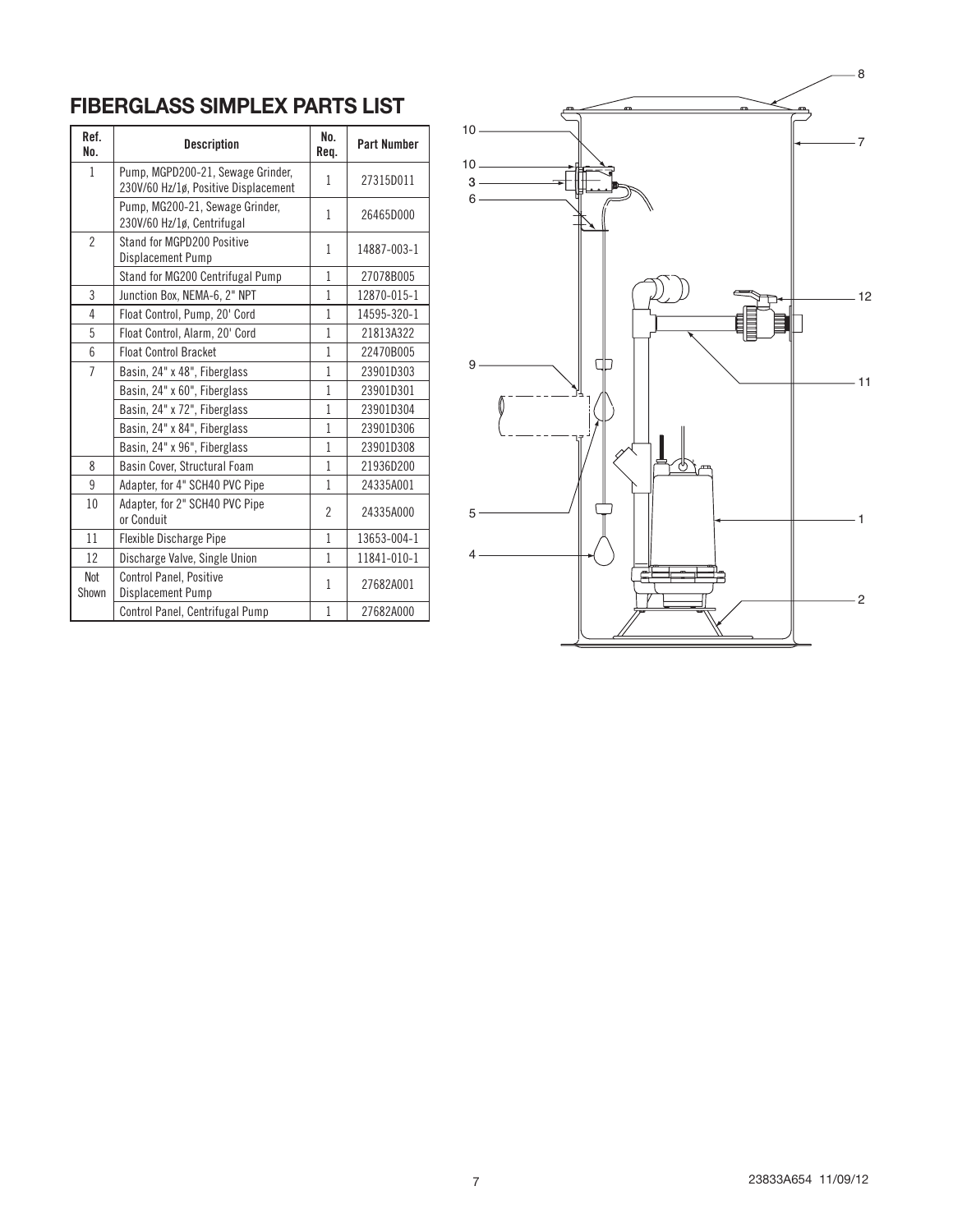## **FIBERGLASS SIMPLEX PARTS LIST**

| Ref.<br>No.    | <b>Description</b>                                                        | No.<br>Req.    | <b>Part Number</b> |
|----------------|---------------------------------------------------------------------------|----------------|--------------------|
| 1              | Pump, MGPD200-21, Sewage Grinder,<br>230V/60 Hz/1ø, Positive Displacement | 1              | 27315D011          |
|                | Pump, MG200-21, Sewage Grinder,<br>230V/60 Hz/1ø, Centrifugal             | 1              | 26465D000          |
| $\mathfrak{p}$ | Stand for MGPD200 Positive<br>Displacement Pump                           | 1              | 14887-003-1        |
|                | Stand for MG200 Centrifugal Pump                                          | 1              | 27078B005          |
| 3              | Junction Box, NEMA-6, 2" NPT                                              | 1              | 12870-015-1        |
| 4              | Float Control, Pump, 20' Cord                                             | 1              | 14595-320-1        |
| 5              | Float Control, Alarm, 20' Cord                                            | 1              | 21813A322          |
| 6              | <b>Float Control Bracket</b>                                              | 1              | 22470B005          |
| $\overline{7}$ | Basin, 24" x 48", Fiberglass                                              | 1              | 23901D303          |
|                | Basin, 24" x 60", Fiberglass                                              | 1              | 23901D301          |
|                | Basin, 24" x 72", Fiberglass                                              | 1              | 23901D304          |
|                | Basin, 24" x 84", Fiberglass                                              | 1              | 23901D306          |
|                | Basin, 24" x 96", Fiberglass                                              | $\mathbf{1}$   | 23901D308          |
| 8              | Basin Cover, Structural Foam                                              | $\mathbf{1}$   | 21936D200          |
| 9              | Adapter, for 4" SCH40 PVC Pipe                                            | 1              | 24335A001          |
| 10             | Adapter, for 2" SCH40 PVC Pipe<br>or Conduit                              | $\overline{2}$ | 24335A000          |
| 11             | Flexible Discharge Pipe                                                   | 1              | 13653-004-1        |
| 12             | Discharge Valve, Single Union                                             | 1              | 11841-010-1        |
| Not<br>Shown   | <b>Control Panel, Positive</b><br>Displacement Pump                       | 1              | 27682A001          |
|                | Control Panel, Centrifugal Pump                                           | 1              | 27682A000          |